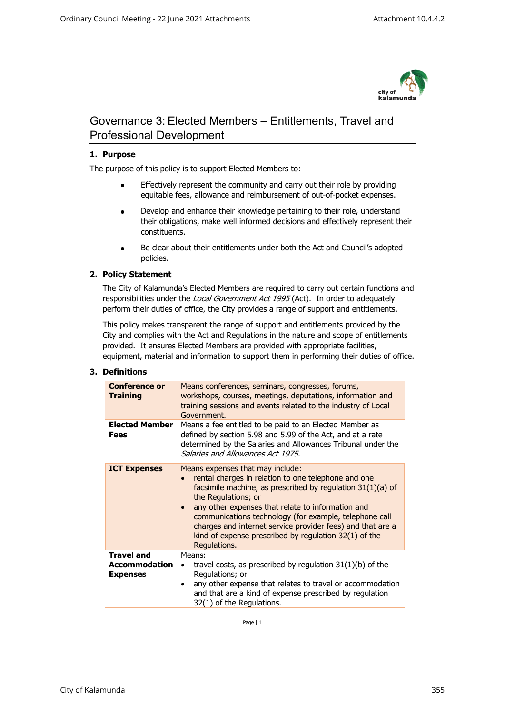

# Governance 3: Elected Members – Entitlements, Travel and Professional Development

# **1. Purpose**

The purpose of this policy is to support Elected Members to:

- Effectively represent the community and carry out their role by providing equitable fees, allowance and reimbursement of out-of-pocket expenses.
- Develop and enhance their knowledge pertaining to their role, understand their obligations, make well informed decisions and effectively represent their constituents.
- Be clear about their entitlements under both the Act and Council's adopted policies.

# **2. Policy Statement**

The City of Kalamunda's Elected Members are required to carry out certain functions and responsibilities under the Local Government Act 1995 (Act). In order to adequately perform their duties of office, the City provides a range of support and entitlements.

This policy makes transparent the range of support and entitlements provided by the City and complies with the Act and Regulations in the nature and scope of entitlements provided. It ensures Elected Members are provided with appropriate facilities, equipment, material and information to support them in performing their duties of office.

#### **3. Definitions**

| <b>Conference or</b><br><b>Training</b>                      | Means conferences, seminars, congresses, forums,<br>workshops, courses, meetings, deputations, information and<br>training sessions and events related to the industry of Local<br>Government.                                                                                                                                                                                                                                                    |
|--------------------------------------------------------------|---------------------------------------------------------------------------------------------------------------------------------------------------------------------------------------------------------------------------------------------------------------------------------------------------------------------------------------------------------------------------------------------------------------------------------------------------|
| <b>Elected Member</b><br>Fees                                | Means a fee entitled to be paid to an Elected Member as<br>defined by section 5.98 and 5.99 of the Act, and at a rate<br>determined by the Salaries and Allowances Tribunal under the<br>Salaries and Allowances Act 1975.                                                                                                                                                                                                                        |
| <b>ICT Expenses</b>                                          | Means expenses that may include:<br>rental charges in relation to one telephone and one<br>facsimile machine, as prescribed by regulation 31(1)(a) of<br>the Regulations; or<br>any other expenses that relate to information and<br>$\bullet$<br>communications technology (for example, telephone call<br>charges and internet service provider fees) and that are a<br>kind of expense prescribed by regulation $32(1)$ of the<br>Regulations. |
| <b>Travel and</b><br><b>Accommodation</b><br><b>Expenses</b> | Means:<br>travel costs, as prescribed by regulation $31(1)(b)$ of the<br>Regulations; or<br>any other expense that relates to travel or accommodation<br>$\bullet$<br>and that are a kind of expense prescribed by regulation<br>32(1) of the Regulations.                                                                                                                                                                                        |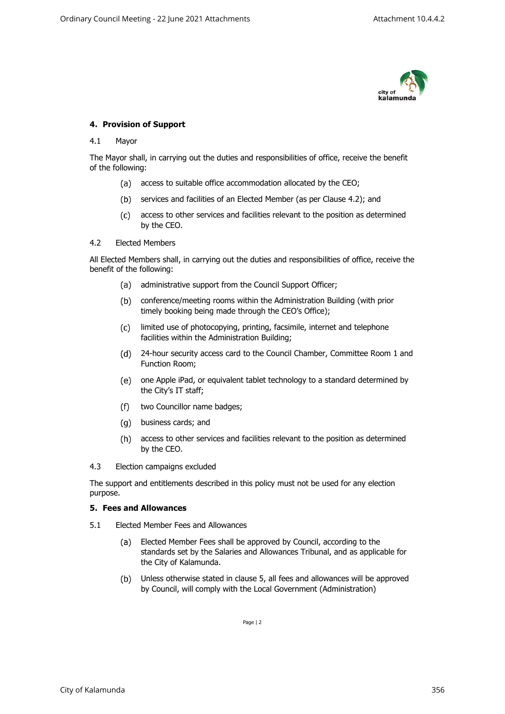

## **4. Provision of Support**

#### 4.1 Mayor

The Mayor shall, in carrying out the duties and responsibilities of office, receive the benefit of the following:

- (a) access to suitable office accommodation allocated by the CEO;
- (b) services and facilities of an Elected Member (as per Clause 4.2); and
- access to other services and facilities relevant to the position as determined by the CEO.

#### 4.2 Elected Members

All Elected Members shall, in carrying out the duties and responsibilities of office, receive the benefit of the following:

- (a) administrative support from the Council Support Officer;
- conference/meeting rooms within the Administration Building (with prior timely booking being made through the CEO's Office);
- $(c)$ limited use of photocopying, printing, facsimile, internet and telephone facilities within the Administration Building;
- 24-hour security access card to the Council Chamber, Committee Room 1 and Function Room;
- one Apple iPad, or equivalent tablet technology to a standard determined by the City's IT staff;
- $(f)$ two Councillor name badges;
- business cards; and
- access to other services and facilities relevant to the position as determined by the CEO.
- 4.3 Election campaigns excluded

The support and entitlements described in this policy must not be used for any election purpose.

#### **5. Fees and Allowances**

- 5.1 Elected Member Fees and Allowances
	- $(a)$ Elected Member Fees shall be approved by Council, according to the standards set by the Salaries and Allowances Tribunal, and as applicable for the City of Kalamunda.
	- $(b)$ Unless otherwise stated in clause 5, all fees and allowances will be approved by Council, will comply with the Local Government (Administration)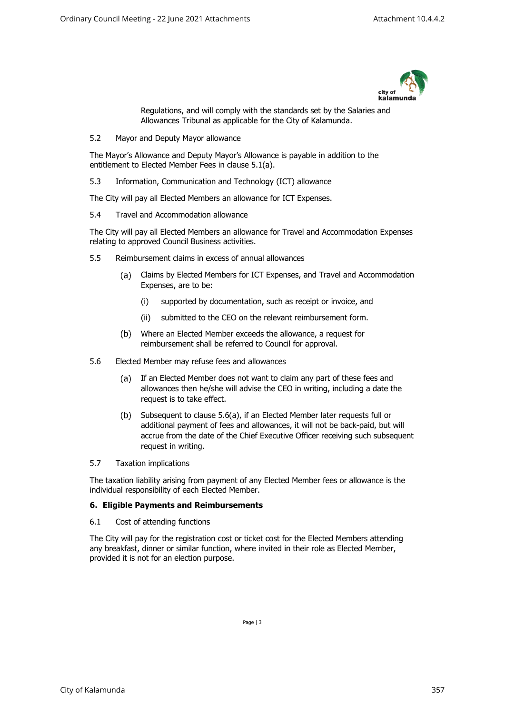

Regulations, and will comply with the standards set by the Salaries and Allowances Tribunal as applicable for the City of Kalamunda.

5.2 Mayor and Deputy Mayor allowance

The Mayor's Allowance and Deputy Mayor's Allowance is payable in addition to the entitlement to Elected Member Fees in clause 5.1(a).

5.3 Information, Communication and Technology (ICT) allowance

The City will pay all Elected Members an allowance for ICT Expenses.

5.4 Travel and Accommodation allowance

The City will pay all Elected Members an allowance for Travel and Accommodation Expenses relating to approved Council Business activities.

- 5.5 Reimbursement claims in excess of annual allowances
	- Claims by Elected Members for ICT Expenses, and Travel and Accommodation  $(a)$ Expenses, are to be:
		- (i) supported by documentation, such as receipt or invoice, and
		- (ii) submitted to the CEO on the relevant reimbursement form.
	- $(b)$ Where an Elected Member exceeds the allowance, a request for reimbursement shall be referred to Council for approval.
- 5.6 Elected Member may refuse fees and allowances
	- $(a)$ If an Elected Member does not want to claim any part of these fees and allowances then he/she will advise the CEO in writing, including a date the request is to take effect.
	- $(b)$ Subsequent to clause 5.6(a), if an Elected Member later requests full or additional payment of fees and allowances, it will not be back-paid, but will accrue from the date of the Chief Executive Officer receiving such subsequent request in writing.
- 5.7 Taxation implications

The taxation liability arising from payment of any Elected Member fees or allowance is the individual responsibility of each Elected Member.

## **6. Eligible Payments and Reimbursements**

6.1 Cost of attending functions

The City will pay for the registration cost or ticket cost for the Elected Members attending any breakfast, dinner or similar function, where invited in their role as Elected Member, provided it is not for an election purpose.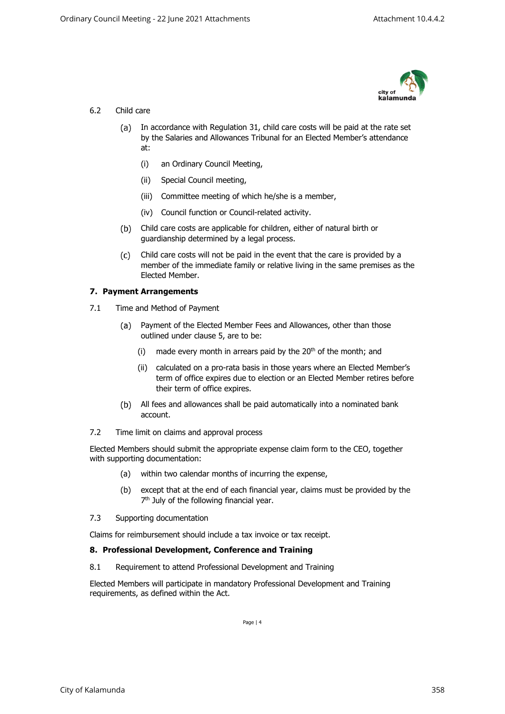

# 6.2 Child care

- (a) In accordance with Regulation 31, child care costs will be paid at the rate set by the Salaries and Allowances Tribunal for an Elected Member's attendance at:
	- (i) an Ordinary Council Meeting,
	- (ii) Special Council meeting,
	- (iii) Committee meeting of which he/she is a member,
	- (iv) Council function or Council-related activity.
- Child care costs are applicable for children, either of natural birth or guardianship determined by a legal process.
- Child care costs will not be paid in the event that the care is provided by a  $(c)$ member of the immediate family or relative living in the same premises as the Elected Member.

# **7. Payment Arrangements**

- 7.1 Time and Method of Payment
	- Payment of the Elected Member Fees and Allowances, other than those (a) outlined under clause 5, are to be:
		- (i) made every month in arrears paid by the  $20<sup>th</sup>$  of the month; and
		- (ii) calculated on a pro-rata basis in those years where an Elected Member's term of office expires due to election or an Elected Member retires before their term of office expires.
	- All fees and allowances shall be paid automatically into a nominated bank account.
- 7.2 Time limit on claims and approval process

Elected Members should submit the appropriate expense claim form to the CEO, together with supporting documentation:

- (a) within two calendar months of incurring the expense,
- (b) except that at the end of each financial year, claims must be provided by the 7<sup>th</sup> July of the following financial year.
- 7.3 Supporting documentation

Claims for reimbursement should include a tax invoice or tax receipt.

#### **8. Professional Development, Conference and Training**

8.1 Requirement to attend Professional Development and Training

<span id="page-3-0"></span>Elected Members will participate in mandatory Professional Development and Training requirements, as defined within the Act.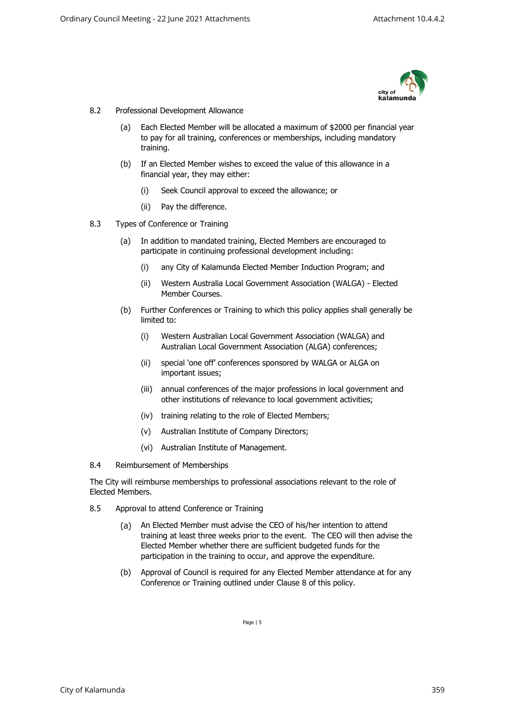

#### 8.2 Professional Development Allowance

- (a) Each Elected Member will be allocated a maximum of \$2000 per financial year to pay for all training, conferences or memberships, including mandatory training.
- (b) If an Elected Member wishes to exceed the value of this allowance in a financial year, they may either:
	- (i) Seek Council approval to exceed the allowance; or
	- (ii) Pay the difference.
- 8.3 Types of Conference or Training
	- (a) In addition to mandated training, Elected Members are encouraged to participate in continuing professional development including:
		- (i) any City of Kalamunda Elected Member Induction Program; and
		- (ii) Western Australia Local Government Association (WALGA) Elected Member Courses.
	- (b) Further Conferences or Training to which this policy applies shall generally be limited to:
		- (i) Western Australian Local Government Association (WALGA) and Australian Local Government Association (ALGA) conferences;
		- (ii) special 'one off' conferences sponsored by WALGA or ALGA on important issues;
		- (iii) annual conferences of the major professions in local government and other institutions of relevance to local government activities;
		- (iv) training relating to the role of Elected Members;
		- (v) Australian Institute of Company Directors;
		- (vi) Australian Institute of Management.
- 8.4 Reimbursement of Memberships

The City will reimburse memberships to professional associations relevant to the role of Elected Members.

- 8.5 Approval to attend Conference or Training
	- $(a)$ An Elected Member must advise the CEO of his/her intention to attend training at least three weeks prior to the event. The CEO will then advise the Elected Member whether there are sufficient budgeted funds for the participation in the training to occur, and approve the expenditure.
	- (b) Approval of Council is required for any Elected Member attendance at for any Conference or Training outlined under Clause [8](#page-3-0) of this policy.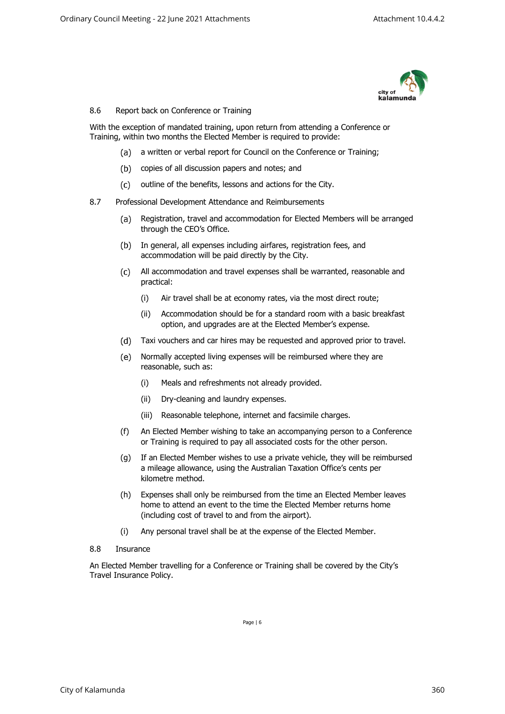

## 8.6 Report back on Conference or Training

With the exception of mandated training, upon return from attending a Conference or Training, within two months the Elected Member is required to provide:

- (a) a written or verbal report for Council on the Conference or Training;
- (b) copies of all discussion papers and notes; and
- (c) outline of the benefits, lessons and actions for the City.
- 8.7 Professional Development Attendance and Reimbursements
	- Registration, travel and accommodation for Elected Members will be arranged  $(a)$ through the CEO's Office.
	- (b) In general, all expenses including airfares, registration fees, and accommodation will be paid directly by the City.
	- All accommodation and travel expenses shall be warranted, reasonable and practical:
		- (i) Air travel shall be at economy rates, via the most direct route;
		- (ii) Accommodation should be for a standard room with a basic breakfast option, and upgrades are at the Elected Member's expense.
	- Taxi vouchers and car hires may be requested and approved prior to travel.
	- $(e)$ Normally accepted living expenses will be reimbursed where they are reasonable, such as:
		- (i) Meals and refreshments not already provided.
		- (ii) Dry-cleaning and laundry expenses.
		- (iii) Reasonable telephone, internet and facsimile charges.
	- (f) An Elected Member wishing to take an accompanying person to a Conference or Training is required to pay all associated costs for the other person.
	- (g) If an Elected Member wishes to use a private vehicle, they will be reimbursed a mileage allowance, using the Australian Taxation Office's cents per kilometre method.
	- (h) Expenses shall only be reimbursed from the time an Elected Member leaves home to attend an event to the time the Elected Member returns home (including cost of travel to and from the airport).
	- (i) Any personal travel shall be at the expense of the Elected Member.
- 8.8 Insurance

An Elected Member travelling for a Conference or Training shall be covered by the City's Travel Insurance Policy.